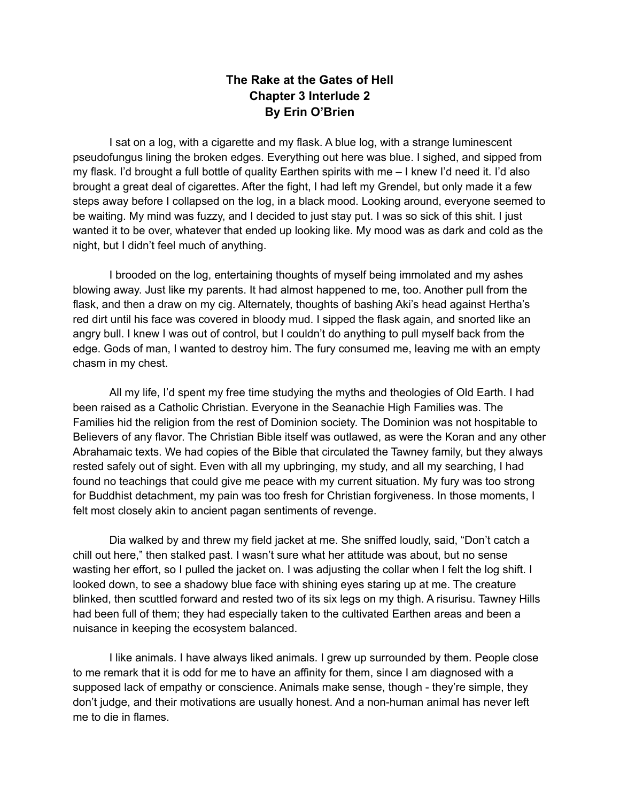## **The Rake at the Gates of Hell Chapter 3 Interlude 2 By Erin O'Brien**

I sat on a log, with a cigarette and my flask. A blue log, with a strange luminescent pseudofungus lining the broken edges. Everything out here was blue. I sighed, and sipped from my flask. I'd brought a full bottle of quality Earthen spirits with me – I knew I'd need it. I'd also brought a great deal of cigarettes. After the fight, I had left my Grendel, but only made it a few steps away before I collapsed on the log, in a black mood. Looking around, everyone seemed to be waiting. My mind was fuzzy, and I decided to just stay put. I was so sick of this shit. I just wanted it to be over, whatever that ended up looking like. My mood was as dark and cold as the night, but I didn't feel much of anything.

I brooded on the log, entertaining thoughts of myself being immolated and my ashes blowing away. Just like my parents. It had almost happened to me, too. Another pull from the flask, and then a draw on my cig. Alternately, thoughts of bashing Aki's head against Hertha's red dirt until his face was covered in bloody mud. I sipped the flask again, and snorted like an angry bull. I knew I was out of control, but I couldn't do anything to pull myself back from the edge. Gods of man, I wanted to destroy him. The fury consumed me, leaving me with an empty chasm in my chest.

All my life, I'd spent my free time studying the myths and theologies of Old Earth. I had been raised as a Catholic Christian. Everyone in the Seanachie High Families was. The Families hid the religion from the rest of Dominion society. The Dominion was not hospitable to Believers of any flavor. The Christian Bible itself was outlawed, as were the Koran and any other Abrahamaic texts. We had copies of the Bible that circulated the Tawney family, but they always rested safely out of sight. Even with all my upbringing, my study, and all my searching, I had found no teachings that could give me peace with my current situation. My fury was too strong for Buddhist detachment, my pain was too fresh for Christian forgiveness. In those moments, I felt most closely akin to ancient pagan sentiments of revenge.

Dia walked by and threw my field jacket at me. She sniffed loudly, said, "Don't catch a chill out here," then stalked past. I wasn't sure what her attitude was about, but no sense wasting her effort, so I pulled the jacket on. I was adjusting the collar when I felt the log shift. I looked down, to see a shadowy blue face with shining eyes staring up at me. The creature blinked, then scuttled forward and rested two of its six legs on my thigh. A risurisu. Tawney Hills had been full of them; they had especially taken to the cultivated Earthen areas and been a nuisance in keeping the ecosystem balanced.

I like animals. I have always liked animals. I grew up surrounded by them. People close to me remark that it is odd for me to have an affinity for them, since I am diagnosed with a supposed lack of empathy or conscience. Animals make sense, though - they're simple, they don't judge, and their motivations are usually honest. And a non-human animal has never left me to die in flames.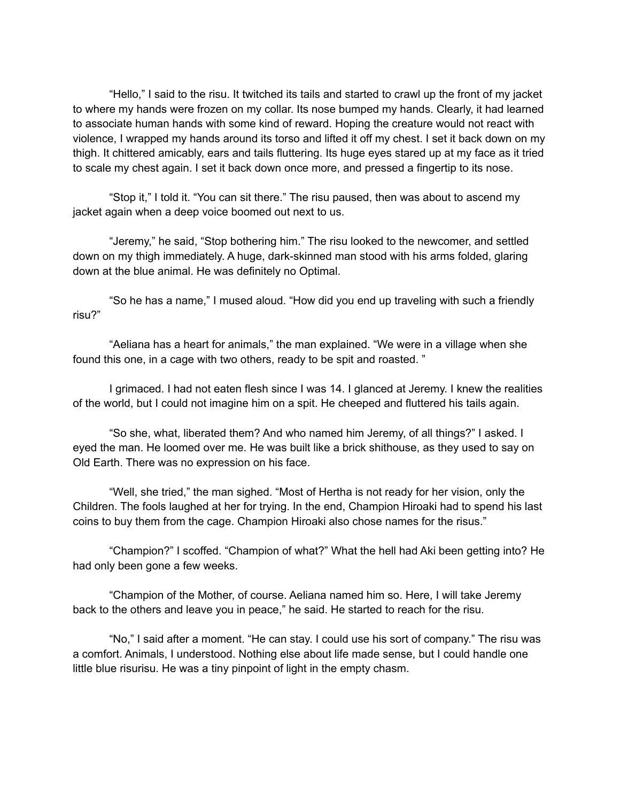"Hello," I said to the risu. It twitched its tails and started to crawl up the front of my jacket to where my hands were frozen on my collar. Its nose bumped my hands. Clearly, it had learned to associate human hands with some kind of reward. Hoping the creature would not react with violence, I wrapped my hands around its torso and lifted it off my chest. I set it back down on my thigh. It chittered amicably, ears and tails fluttering. Its huge eyes stared up at my face as it tried to scale my chest again. I set it back down once more, and pressed a fingertip to its nose.

"Stop it," I told it. "You can sit there." The risu paused, then was about to ascend my jacket again when a deep voice boomed out next to us.

"Jeremy," he said, "Stop bothering him." The risu looked to the newcomer, and settled down on my thigh immediately. A huge, dark-skinned man stood with his arms folded, glaring down at the blue animal. He was definitely no Optimal.

"So he has a name," I mused aloud. "How did you end up traveling with such a friendly risu?"

"Aeliana has a heart for animals," the man explained. "We were in a village when she found this one, in a cage with two others, ready to be spit and roasted. "

I grimaced. I had not eaten flesh since I was 14. I glanced at Jeremy. I knew the realities of the world, but I could not imagine him on a spit. He cheeped and fluttered his tails again.

"So she, what, liberated them? And who named him Jeremy, of all things?" I asked. I eyed the man. He loomed over me. He was built like a brick shithouse, as they used to say on Old Earth. There was no expression on his face.

"Well, she tried," the man sighed. "Most of Hertha is not ready for her vision, only the Children. The fools laughed at her for trying. In the end, Champion Hiroaki had to spend his last coins to buy them from the cage. Champion Hiroaki also chose names for the risus."

"Champion?" I scoffed. "Champion of what?" What the hell had Aki been getting into? He had only been gone a few weeks.

"Champion of the Mother, of course. Aeliana named him so. Here, I will take Jeremy back to the others and leave you in peace," he said. He started to reach for the risu.

"No," I said after a moment. "He can stay. I could use his sort of company." The risu was a comfort. Animals, I understood. Nothing else about life made sense, but I could handle one little blue risurisu. He was a tiny pinpoint of light in the empty chasm.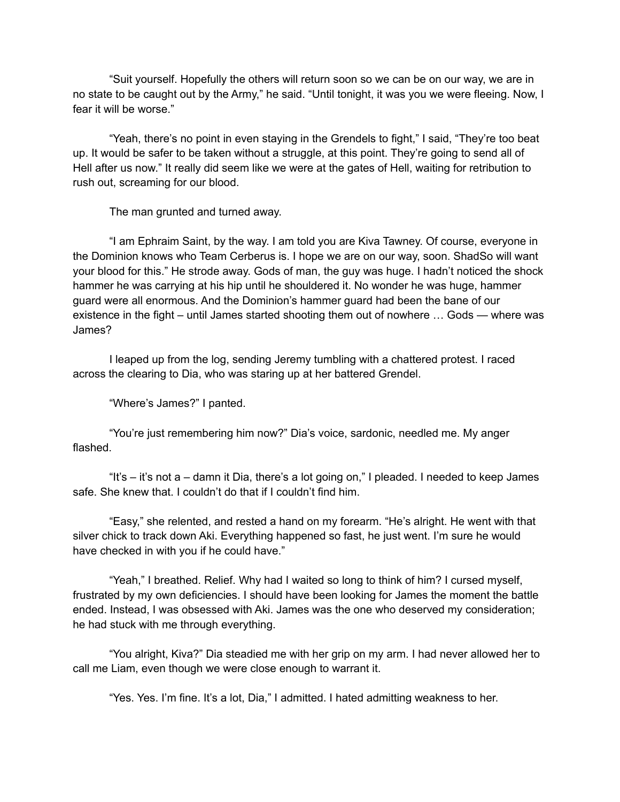"Suit yourself. Hopefully the others will return soon so we can be on our way, we are in no state to be caught out by the Army," he said. "Until tonight, it was you we were fleeing. Now, I fear it will be worse."

"Yeah, there's no point in even staying in the Grendels to fight," I said, "They're too beat up. It would be safer to be taken without a struggle, at this point. They're going to send all of Hell after us now." It really did seem like we were at the gates of Hell, waiting for retribution to rush out, screaming for our blood.

The man grunted and turned away.

"I am Ephraim Saint, by the way. I am told you are Kiva Tawney. Of course, everyone in the Dominion knows who Team Cerberus is. I hope we are on our way, soon. ShadSo will want your blood for this." He strode away. Gods of man, the guy was huge. I hadn't noticed the shock hammer he was carrying at his hip until he shouldered it. No wonder he was huge, hammer guard were all enormous. And the Dominion's hammer guard had been the bane of our existence in the fight – until James started shooting them out of nowhere … Gods — where was James?

I leaped up from the log, sending Jeremy tumbling with a chattered protest. I raced across the clearing to Dia, who was staring up at her battered Grendel.

"Where's James?" I panted.

"You're just remembering him now?" Dia's voice, sardonic, needled me. My anger flashed.

"It's – it's not a – damn it Dia, there's a lot going on," I pleaded. I needed to keep James safe. She knew that. I couldn't do that if I couldn't find him.

"Easy," she relented, and rested a hand on my forearm. "He's alright. He went with that silver chick to track down Aki. Everything happened so fast, he just went. I'm sure he would have checked in with you if he could have."

"Yeah," I breathed. Relief. Why had I waited so long to think of him? I cursed myself, frustrated by my own deficiencies. I should have been looking for James the moment the battle ended. Instead, I was obsessed with Aki. James was the one who deserved my consideration; he had stuck with me through everything.

"You alright, Kiva?" Dia steadied me with her grip on my arm. I had never allowed her to call me Liam, even though we were close enough to warrant it.

"Yes. Yes. I'm fine. It's a lot, Dia," I admitted. I hated admitting weakness to her.